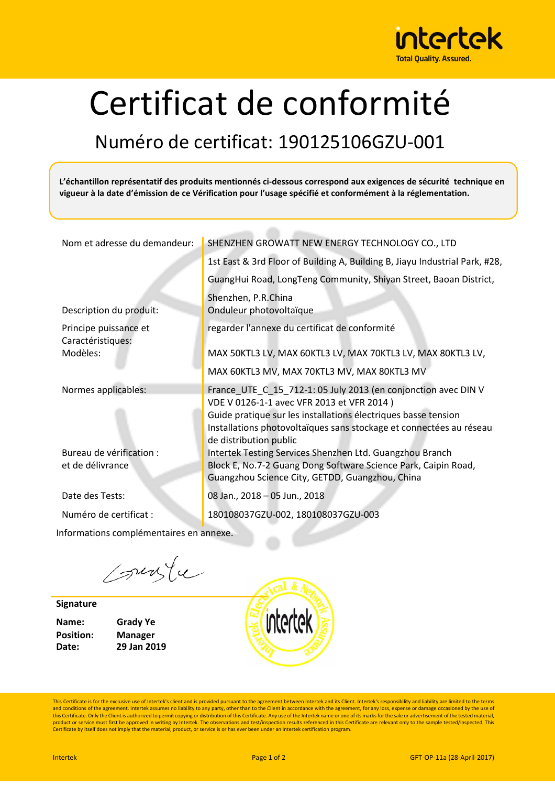

## Certificat de conformité

## Numéro de certificat: 190125106GZU-001

**L'échantillon représentatif des produits mentionnés ci-dessous correspond aux exigences de sécurité technique en**  vigueur à la date d'émission de ce Vérification pour l'usage spécifié et conformément à la réglementation.

| Nom et adresse du demandeur:                 | SHENZHEN GROWATT NEW ENERGY TECHNOLOGY CO., LTD                                                                                                                                                                                                                                |
|----------------------------------------------|--------------------------------------------------------------------------------------------------------------------------------------------------------------------------------------------------------------------------------------------------------------------------------|
|                                              | 1st East & 3rd Floor of Building A, Building B, Jiayu Industrial Park, #28,                                                                                                                                                                                                    |
|                                              | GuangHui Road, LongTeng Community, Shiyan Street, Baoan District,                                                                                                                                                                                                              |
| Description du produit:                      | Shenzhen, P.R.China<br>Onduleur photovoltaïque                                                                                                                                                                                                                                 |
| Principe puissance et<br>Caractéristiques:   | regarder l'annexe du certificat de conformité                                                                                                                                                                                                                                  |
| Modèles:                                     | MAX 50KTL3 LV, MAX 60KTL3 LV, MAX 70KTL3 LV, MAX 80KTL3 LV,                                                                                                                                                                                                                    |
|                                              | MAX 60KTL3 MV, MAX 70KTL3 MV, MAX 80KTL3 MV                                                                                                                                                                                                                                    |
|                                              |                                                                                                                                                                                                                                                                                |
| Normes applicables:                          | France_UTE_C_15_712-1: 05 July 2013 (en conjonction avec DIN V<br>VDE V 0126-1-1 avec VFR 2013 et VFR 2014)<br>Guide pratique sur les installations électriques basse tension<br>Installations photovoltaïques sans stockage et connectées au réseau<br>de distribution public |
| Bureau de vérification :<br>et de délivrance | Intertek Testing Services Shenzhen Ltd. Guangzhou Branch<br>Block E, No.7-2 Guang Dong Software Science Park, Caipin Road,<br>Guangzhou Science City, GETDD, Guangzhou, China                                                                                                  |
| Date des Tests:                              | 08 Jan., 2018 - 05 Jun., 2018                                                                                                                                                                                                                                                  |

Informations complémentaires en annexe.

suste

**Signature**

**Name: Grady Ye Position: Manager**

**Date: 29 Jan 2019**



This Certificate is for the exclusive use of Intertek's client and is provided pursuant to the agreement between Intertek and its Client. Intertek's responsibility and liability are limited to the terms and conditions of the agreement. Intertek assumes no liability to any party, other than to the Client in accordance with the agreement, for any loss, expense or damage occasioned by the use of<br>this Certificate. Only the Cl product or service must first be approved in writing by Intertek. The observations and test/inspection results referenced in this Certificate are relevant only to the sample tested/inspected. This<br>Certificate by itself doe